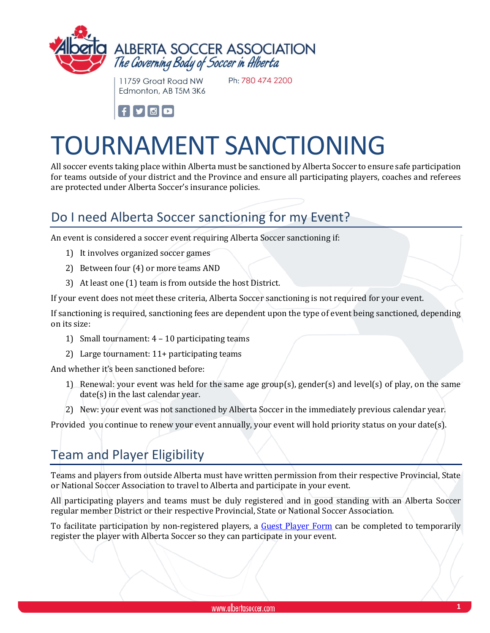

11759 Groat Road NW Edmonton, AB T5M 3K6 Ph: 780 474 2200



# TOURNAMENT SANCTIONING

All soccer events taking place within Alberta must be sanctioned by Alberta Soccer to ensure safe participation for teams outside of your district and the Province and ensure all participating players, coaches and referees are protected under Alberta Soccer's insurance policies.

# Do I need Alberta Soccer sanctioning for my Event?

An event is considered a soccer event requiring Alberta Soccer sanctioning if:

- 1) It involves organized soccer games
- 2) Between four (4) or more teams AND
- 3) At least one (1) team is from outside the host District.

If your event does not meet these criteria, Alberta Soccer sanctioning is not required for your event.

If sanctioning is required, sanctioning fees are dependent upon the type of event being sanctioned, depending on its size:

- 1) Small tournament: 4 10 participating teams
- 2) Large tournament: 11+ participating teams

And whether it's been sanctioned before:

- 1) Renewal: your event was held for the same age group(s), gender(s) and level(s) of play, on the same date(s) in the last calendar year.
- 2) New: your event was not sanctioned by Alberta Soccer in the immediately previous calendar year.

Provided you continue to renew your event annually, your event will hold priority status on your date(s).

# Team and Player Eligibility

Teams and players from outside Alberta must have written permission from their respective Provincial, State or National Soccer Association to travel to Alberta and participate in your event.

All participating players and teams must be duly registered and in good standing with an Alberta Soccer regular member District or their respective Provincial, State or National Soccer Association.

To facilitate participation by non-registered players, a [Guest Player Form](https://albertasoccer.com/wp-content/uploads/2021/03/Guest.Player.Registration.Form_.pdf) can be completed to temporarily register the player with Alberta Soccer so they can participate in your event.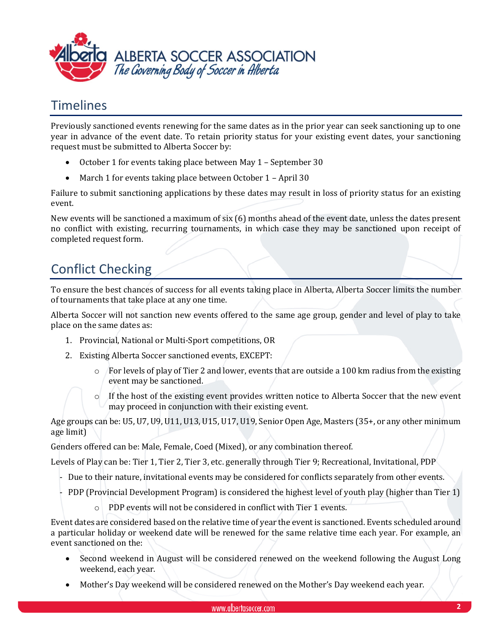

### Timelines

Previously sanctioned events renewing for the same dates as in the prior year can seek sanctioning up to one year in advance of the event date. To retain priority status for your existing event dates, your sanctioning request must be submitted to Alberta Soccer by:

- October 1 for events taking place between May 1 September 30
- March 1 for events taking place between October 1 April 30

Failure to submit sanctioning applications by these dates may result in loss of priority status for an existing event.

New events will be sanctioned a maximum of six (6) months ahead of the event date, unless the dates present no conflict with existing, recurring tournaments, in which case they may be sanctioned upon receipt of completed request form.

# Conflict Checking

To ensure the best chances of success for all events taking place in Alberta, Alberta Soccer limits the number of tournaments that take place at any one time.

Alberta Soccer will not sanction new events offered to the same age group, gender and level of play to take place on the same dates as:

- 1. Provincial, National or Multi-Sport competitions, OR
- 2. Existing Alberta Soccer sanctioned events, EXCEPT:
	- $\circ$  For levels of play of Tier 2 and lower, events that are outside a 100 km radius from the existing event may be sanctioned.
	- o If the host of the existing event provides written notice to Alberta Soccer that the new event may proceed in conjunction with their existing event.

Age groups can be: U5, U7, U9, U11, U13, U15, U17, U19, Senior Open Age, Masters (35+, or any other minimum age limit)

Genders offered can be: Male, Female, Coed (Mixed), or any combination thereof.

Levels of Play can be: Tier 1, Tier 2, Tier 3, etc. generally through Tier 9; Recreational, Invitational, PDP

- Due to their nature, invitational events may be considered for conflicts separately from other events.
- PDP (Provincial Development Program) is considered the highest level of youth play (higher than Tier 1)
	- o PDP events will not be considered in conflict with Tier 1 events.

Event dates are considered based on the relative time of year the event is sanctioned. Events scheduled around a particular holiday or weekend date will be renewed for the same relative time each year. For example, an event sanctioned on the:

- Second weekend in August will be considered renewed on the weekend following the August Long weekend, each year.
- Mother's Day weekend will be considered renewed on the Mother's Day weekend each year.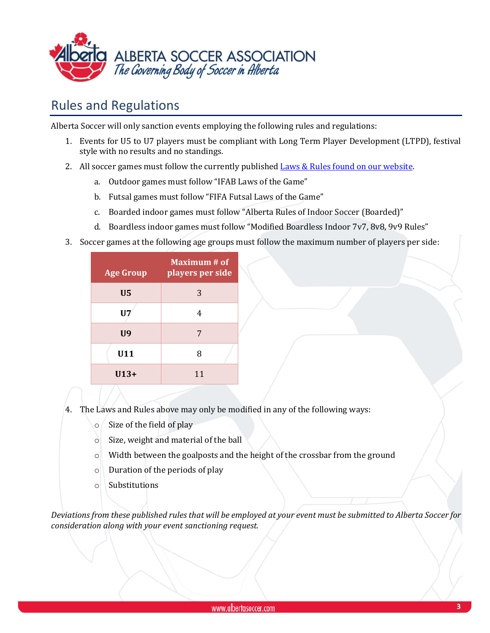

## Rules and Regulations

Alberta Soccer will only sanction events employing the following rules and regulations:

- 1. Events for U5 to U7 players must be compliant with Long Term Player Development (LTPD), festival style with no results and no standings.
- 2. All soccer games must follow the currently published **Laws & Rules found on our website**.
	- a. Outdoor games must follow "IFAB Laws of the Game"
	- b. Futsal games must follow "FIFA Futsal Laws of the Game"
	- c. Boarded indoor games must follow "Alberta Rules of Indoor Soccer (Boarded)"
	- d. Boardless indoor games must follow "Modified Boardless Indoor 7v7, 8v8, 9v9 Rules"
- 3. Soccer games at the following age groups must follow the maximum number of players per side:

| Age Gro <u>up</u> | <b>Maximum</b> # of<br>players per side |
|-------------------|-----------------------------------------|
| U <sub>5</sub>    | 3                                       |
| U7                | 4                                       |
| <b>U9</b>         | 7                                       |
| U11               | 8                                       |
| $U13+$            | 11                                      |

- 4. The Laws and Rules above may only be modified in any of the following ways:
	- o Size of the field of play
	- o Size, weight and material of the ball
	- o Width between the goalposts and the height of the crossbar from the ground
	- o Duration of the periods of play
	- o Substitutions

*Deviations from these published rules that will be employed at your event must be submitted to Alberta Soccer for consideration along with your event sanctioning request.*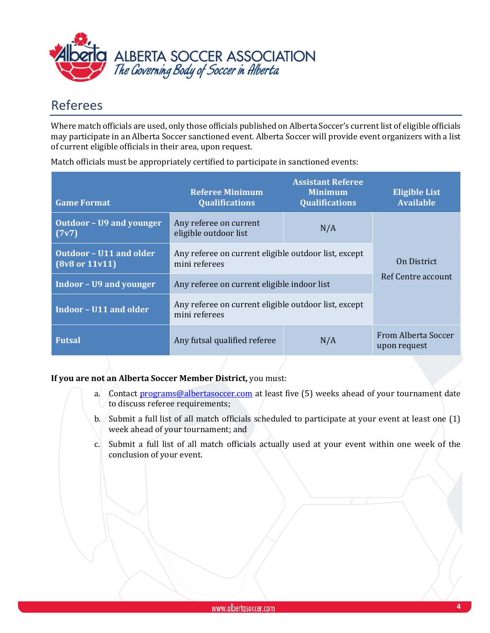

# Referees

Where match officials are used, only those officials published on Alberta Soccer's current list of eligible officials may participate in an Alberta Soccer sanctioned event. Alberta Soccer will provide event organizers with a list of current eligible officials in their area, upon request.

| <b>Game Format</b>                                          | <b>Referee Minimum</b><br><b>Qualifications</b>                       | <b>Assistant Referee</b><br><b>Minimum</b><br><b>Qualifications</b> | <b>Eligible List</b><br><b>Available</b> |  |
|-------------------------------------------------------------|-----------------------------------------------------------------------|---------------------------------------------------------------------|------------------------------------------|--|
| <b>Outdoor - U9 and younger</b><br>(7v7)                    | Any referee on current<br>eligible outdoor list                       | N/A                                                                 |                                          |  |
| <b>Outdoor - U11 and older</b><br>$(8v8 \text{ or } 11v11)$ | Any referee on current eligible outdoor list, except<br>mini referees |                                                                     | On District<br>Ref Centre account        |  |
| <b>Indoor - U9 and younger</b>                              | Any referee on current eligible indoor list                           |                                                                     |                                          |  |
| Indoor - U11 and older                                      | Any referee on current eligible outdoor list, except<br>mini referees |                                                                     |                                          |  |
| <b>Futsal</b>                                               | Any futsal qualified referee                                          | N/A                                                                 | From Alberta Soccer<br>upon request      |  |

Match officials must be appropriately certified to participate in sanctioned events:

#### **If you are not an Alberta Soccer Member District,** you must:

- a. Contact [programs@albertasoccer.com](mailto:programs@albertasoccer.com) at least five (5) weeks ahead of your tournament date to discuss referee requirements;
- b. Submit a full list of all match officials scheduled to participate at your event at least one (1) week ahead of your tournament; and
- c. Submit a full list of all match officials actually used at your event within one week of the conclusion of your event.